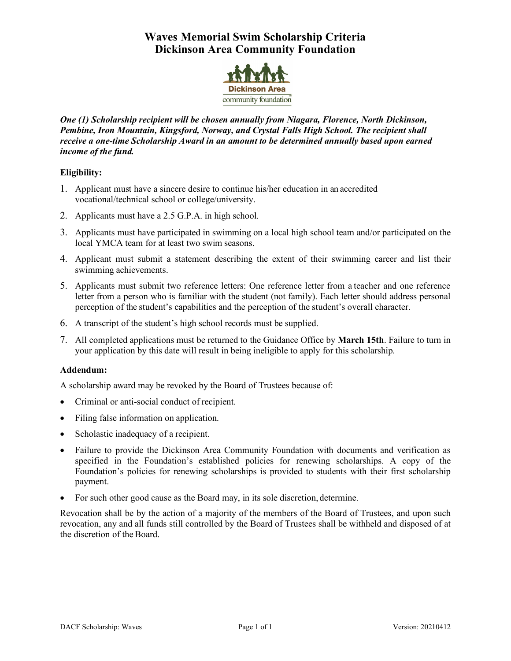# **Waves Memorial Swim Scholarship Criteria Dickinson Area Community Foundation**



*One (1) Scholarship recipient will be chosen annually from Niagara, Florence, North Dickinson, Pembine, Iron Mountain, Kingsford, Norway, and Crystal Falls High School. The recipient shall receive a one-time Scholarship Award in an amount to be determined annually based upon earned income of the fund.*

## **Eligibility:**

- 1. Applicant must have a sincere desire to continue his/her education in an accredited vocational/technical school or college/university.
- 2. Applicants must have a 2.5 G.P.A. in high school.
- 3. Applicants must have participated in swimming on a local high school team and/or participated on the local YMCA team for at least two swim seasons.
- 4. Applicant must submit a statement describing the extent of their swimming career and list their swimming achievements.
- 5. Applicants must submit two reference letters: One reference letter from a teacher and one reference letter from a person who is familiar with the student (not family). Each letter should address personal perception of the student's capabilities and the perception of the student's overall character.
- 6. A transcript of the student's high school records must be supplied.
- 7. All completed applications must be returned to the Guidance Office by **March 15th**. Failure to turn in your application by this date will result in being ineligible to apply for this scholarship.

### **Addendum:**

A scholarship award may be revoked by the Board of Trustees because of:

- Criminal or anti-social conduct of recipient.
- Filing false information on application.
- Scholastic inadequacy of a recipient.
- Failure to provide the Dickinson Area Community Foundation with documents and verification as specified in the Foundation's established policies for renewing scholarships. A copy of the Foundation's policies for renewing scholarships is provided to students with their first scholarship payment.
- For such other good cause as the Board may, in its sole discretion, determine.

Revocation shall be by the action of a majority of the members of the Board of Trustees, and upon such revocation, any and all funds still controlled by the Board of Trustees shall be withheld and disposed of at the discretion of the Board.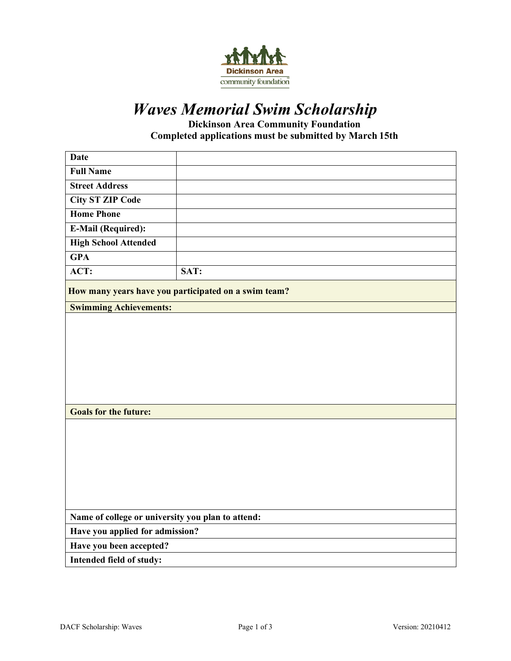

# *Waves Memorial Swim Scholarship*

**Dickinson Area Community Foundation Completed applications must be submitted by March 15th**

| <b>Date</b>                                          |      |  |
|------------------------------------------------------|------|--|
| <b>Full Name</b>                                     |      |  |
| <b>Street Address</b>                                |      |  |
| <b>City ST ZIP Code</b>                              |      |  |
| <b>Home Phone</b>                                    |      |  |
| <b>E-Mail (Required):</b>                            |      |  |
| <b>High School Attended</b>                          |      |  |
| <b>GPA</b>                                           |      |  |
| ACT:                                                 | SAT: |  |
| How many years have you participated on a swim team? |      |  |
| <b>Swimming Achievements:</b>                        |      |  |
|                                                      |      |  |
|                                                      |      |  |
|                                                      |      |  |
|                                                      |      |  |
|                                                      |      |  |
|                                                      |      |  |
| <b>Goals for the future:</b>                         |      |  |
|                                                      |      |  |
|                                                      |      |  |
|                                                      |      |  |
|                                                      |      |  |
|                                                      |      |  |
|                                                      |      |  |
| Name of college or university you plan to attend:    |      |  |
| Have you applied for admission?                      |      |  |
| Have you been accepted?                              |      |  |
| Intended field of study:                             |      |  |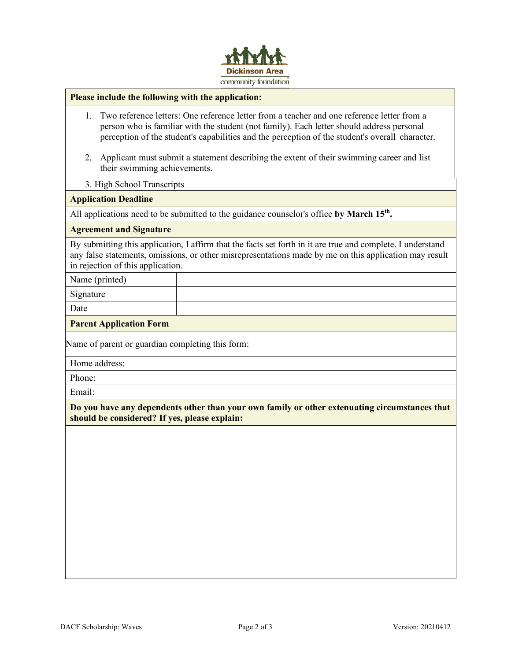

#### **Please include the following with the application:**

- 1. Two reference letters: One reference letter from a teacher and one reference letter from a person who is familiar with the student (not family). Each letter should address personal perception of the student's capabilities and the perception of the student's overall character.
- 2. Applicant must submit a statement describing the extent of their swimming career and list their swimming achievements.
- 3. High School Transcripts

#### **Application Deadline**

All applications need to be submitted to the guidance counselor's office by March 15<sup>th</sup>.

#### **Agreement and Signature**

By submitting this application, I affirm that the facts set forth in it are true and complete. I understand any false statements, omissions, or other misrepresentations made by me on this application may result in rejection of this application.

Name (printed)

Signature

Date

#### **Parent Application Form**

Name of parent or guardian completing this form:

Home address:

Phone:

Email:

**Do you have any dependents other than your own family or other extenuating circumstances that should be considered? If yes, please explain:**